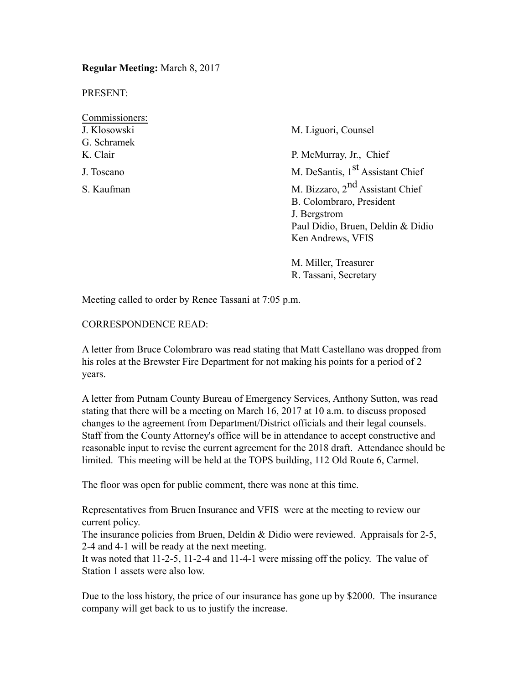**Regular Meeting:** March 8, 2017

PRESENT:

Commissioners: G. Schramek

J. Klosowski M. Liguori, Counsel K. Clair P. McMurray, Jr., Chief J. Toscano M. DeSantis, 1<sup>st</sup> Assistant Chief S. Kaufman M. Bizzaro, 2<sup>nd</sup> Assistant Chief B. Colombraro, President J. Bergstrom Paul Didio, Bruen, Deldin & Didio Ken Andrews, VFIS

> M. Miller, Treasurer R. Tassani, Secretary

Meeting called to order by Renee Tassani at 7:05 p.m.

CORRESPONDENCE READ:

A letter from Bruce Colombraro was read stating that Matt Castellano was dropped from his roles at the Brewster Fire Department for not making his points for a period of 2 years.

A letter from Putnam County Bureau of Emergency Services, Anthony Sutton, was read stating that there will be a meeting on March 16, 2017 at 10 a.m. to discuss proposed changes to the agreement from Department/District officials and their legal counsels. Staff from the County Attorney's office will be in attendance to accept constructive and reasonable input to revise the current agreement for the 2018 draft. Attendance should be limited. This meeting will be held at the TOPS building, 112 Old Route 6, Carmel.

The floor was open for public comment, there was none at this time.

Representatives from Bruen Insurance and VFIS were at the meeting to review our current policy.

The insurance policies from Bruen, Deldin & Didio were reviewed. Appraisals for 2-5, 2-4 and 4-1 will be ready at the next meeting.

It was noted that 11-2-5, 11-2-4 and 11-4-1 were missing off the policy. The value of Station 1 assets were also low.

Due to the loss history, the price of our insurance has gone up by \$2000. The insurance company will get back to us to justify the increase.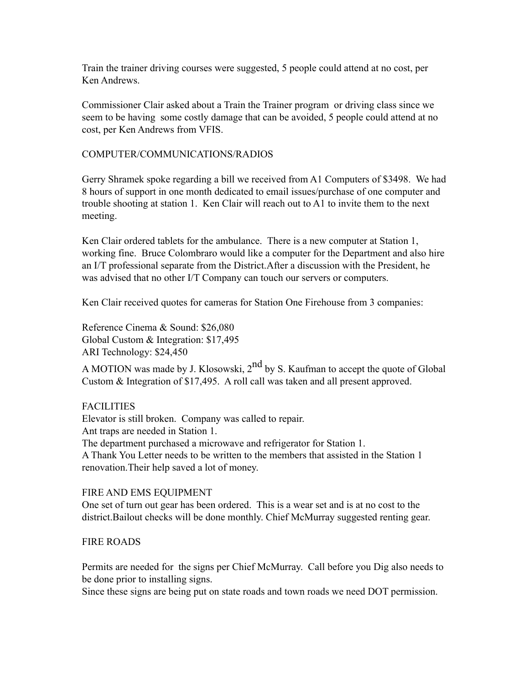Train the trainer driving courses were suggested, 5 people could attend at no cost, per Ken Andrews.

Commissioner Clair asked about a Train the Trainer program or driving class since we seem to be having some costly damage that can be avoided, 5 people could attend at no cost, per Ken Andrews from VFIS.

### COMPUTER/COMMUNICATIONS/RADIOS

Gerry Shramek spoke regarding a bill we received from A1 Computers of \$3498. We had 8 hours of support in one month dedicated to email issues/purchase of one computer and trouble shooting at station 1. Ken Clair will reach out to A1 to invite them to the next meeting.

Ken Clair ordered tablets for the ambulance. There is a new computer at Station 1, working fine. Bruce Colombraro would like a computer for the Department and also hire an I/T professional separate from the District.After a discussion with the President, he was advised that no other I/T Company can touch our servers or computers.

Ken Clair received quotes for cameras for Station One Firehouse from 3 companies:

Reference Cinema & Sound: \$26,080 Global Custom & Integration: \$17,495 ARI Technology: \$24,450

A MOTION was made by J. Klosowski, 2<sup>nd</sup> by S. Kaufman to accept the quote of Global Custom & Integration of \$17,495. A roll call was taken and all present approved.

### FACILITIES

Elevator is still broken. Company was called to repair.

Ant traps are needed in Station 1.

The department purchased a microwave and refrigerator for Station 1.

A Thank You Letter needs to be written to the members that assisted in the Station 1 renovation.Their help saved a lot of money.

### FIRE AND EMS EQUIPMENT

One set of turn out gear has been ordered. This is a wear set and is at no cost to the district.Bailout checks will be done monthly. Chief McMurray suggested renting gear.

# FIRE ROADS

Permits are needed for the signs per Chief McMurray. Call before you Dig also needs to be done prior to installing signs.

Since these signs are being put on state roads and town roads we need DOT permission.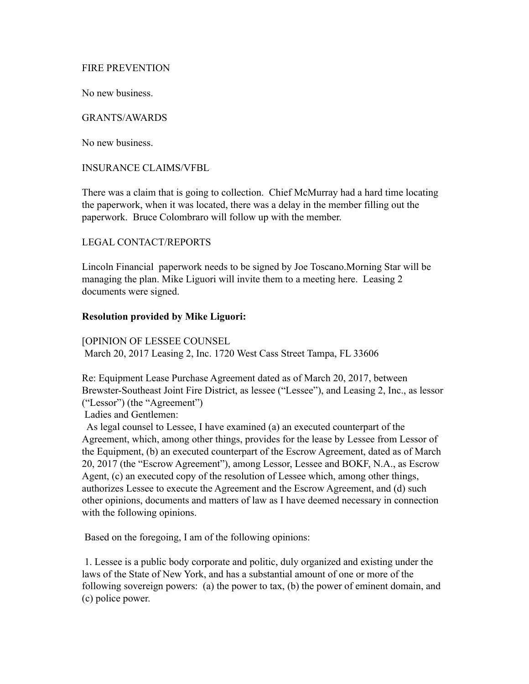#### FIRE PREVENTION

No new business.

### GRANTS/AWARDS

No new business.

#### INSURANCE CLAIMS/VFBL

There was a claim that is going to collection. Chief McMurray had a hard time locating the paperwork, when it was located, there was a delay in the member filling out the paperwork. Bruce Colombraro will follow up with the member.

### LEGAL CONTACT/REPORTS

Lincoln Financial paperwork needs to be signed by Joe Toscano.Morning Star will be managing the plan. Mike Liguori will invite them to a meeting here. Leasing 2 documents were signed.

#### **Resolution provided by Mike Liguori:**

[OPINION OF LESSEE COUNSEL March 20, 2017 Leasing 2, Inc. 1720 West Cass Street Tampa, FL 33606

Re: Equipment Lease Purchase Agreement dated as of March 20, 2017, between Brewster-Southeast Joint Fire District, as lessee ("Lessee"), and Leasing 2, Inc., as lessor ("Lessor") (the "Agreement")

Ladies and Gentlemen:

 As legal counsel to Lessee, I have examined (a) an executed counterpart of the Agreement, which, among other things, provides for the lease by Lessee from Lessor of the Equipment, (b) an executed counterpart of the Escrow Agreement, dated as of March 20, 2017 (the "Escrow Agreement"), among Lessor, Lessee and BOKF, N.A., as Escrow Agent, (c) an executed copy of the resolution of Lessee which, among other things, authorizes Lessee to execute the Agreement and the Escrow Agreement, and (d) such other opinions, documents and matters of law as I have deemed necessary in connection with the following opinions.

Based on the foregoing, I am of the following opinions:

 1. Lessee is a public body corporate and politic, duly organized and existing under the laws of the State of New York, and has a substantial amount of one or more of the following sovereign powers: (a) the power to tax, (b) the power of eminent domain, and (c) police power.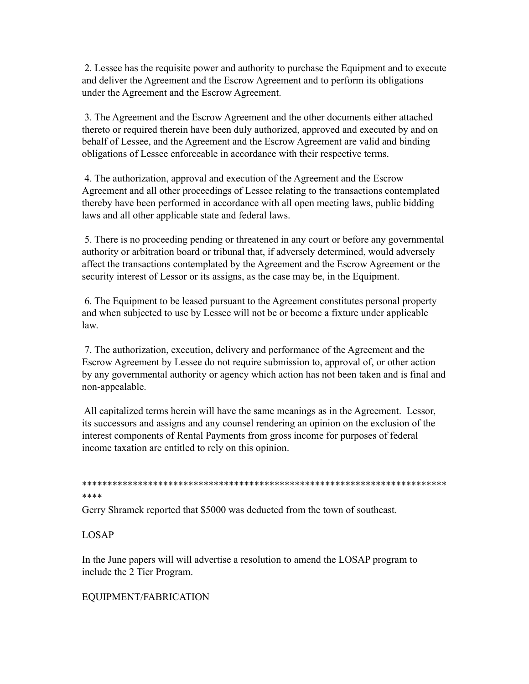2. Lessee has the requisite power and authority to purchase the Equipment and to execute and deliver the Agreement and the Escrow Agreement and to perform its obligations under the Agreement and the Escrow Agreement.

3. The Agreement and the Escrow Agreement and the other documents either attached thereto or required therein have been duly authorized, approved and executed by and on behalf of Lessee, and the Agreement and the Escrow Agreement are valid and binding obligations of Lessee enforceable in accordance with their respective terms.

4. The authorization, approval and execution of the Agreement and the Escrow Agreement and all other proceedings of Lessee relating to the transactions contemplated thereby have been performed in accordance with all open meeting laws, public bidding laws and all other applicable state and federal laws.

5. There is no proceeding pending or threatened in any court or before any governmental authority or arbitration board or tribunal that, if adversely determined, would adversely affect the transactions contemplated by the Agreement and the Escrow Agreement or the security interest of Lessor or its assigns, as the case may be, in the Equipment.

6. The Equipment to be leased pursuant to the Agreement constitutes personal property and when subjected to use by Lessee will not be or become a fixture under applicable  $law$ 

7. The authorization, execution, delivery and performance of the Agreement and the Escrow Agreement by Lessee do not require submission to, approval of, or other action by any governmental authority or agency which action has not been taken and is final and non-appealable.

All capitalized terms herein will have the same meanings as in the Agreement. Lessor, its successors and assigns and any counsel rendering an opinion on the exclusion of the interest components of Rental Payments from gross income for purposes of federal income taxation are entitled to rely on this opinion.

```
****
```
Gerry Shramek reported that \$5000 was deducted from the town of southeast.

# **LOSAP**

In the June papers will will advertise a resolution to amend the LOSAP program to include the 2 Tier Program.

# EQUIPMENT/FABRICATION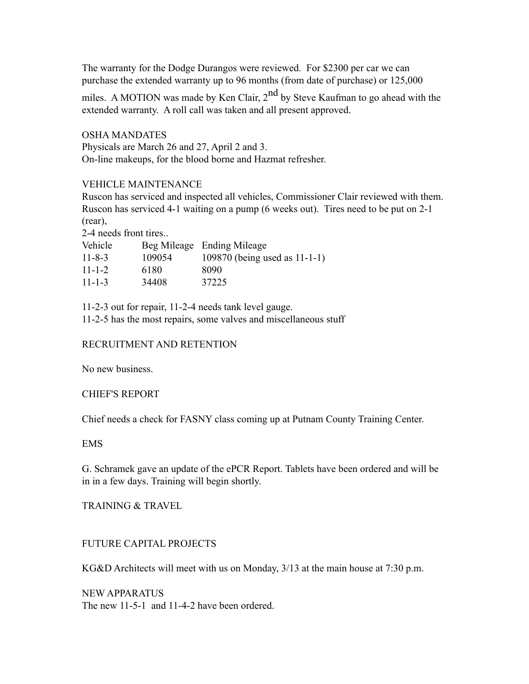The warranty for the Dodge Durangos were reviewed. For \$2300 per car we can purchase the extended warranty up to 96 months (from date of purchase) or 125,000

miles. A MOTION was made by Ken Clair,  $2<sup>nd</sup>$  by Steve Kaufman to go ahead with the extended warranty. A roll call was taken and all present approved.

OSHA MANDATES

Physicals are March 26 and 27, April 2 and 3. On-line makeups, for the blood borne and Hazmat refresher.

## VEHICLE MAINTENANCE

Ruscon has serviced and inspected all vehicles, Commissioner Clair reviewed with them. Ruscon has serviced 4-1 waiting on a pump (6 weeks out). Tires need to be put on 2-1 (rear),

2-4 needs front tires..

| Vehicle<br>$11 - 8 - 3$ | 109054 | Beg Mileage Ending Mileage<br>109870 (being used as $11-1-1$ ) |
|-------------------------|--------|----------------------------------------------------------------|
| $11 - 1 - 2$            | 6180   | 8090                                                           |
| $11 - 1 - 3$            | 34408  | 37225                                                          |

11-2-3 out for repair, 11-2-4 needs tank level gauge. 11-2-5 has the most repairs, some valves and miscellaneous stuff

## RECRUITMENT AND RETENTION

No new business.

### CHIEF'S REPORT

Chief needs a check for FASNY class coming up at Putnam County Training Center.

### EMS

G. Schramek gave an update of the ePCR Report. Tablets have been ordered and will be in in a few days. Training will begin shortly.

## TRAINING & TRAVEL

# FUTURE CAPITAL PROJECTS

KG&D Architects will meet with us on Monday, 3/13 at the main house at 7:30 p.m.

NEW APPARATUS The new 11-5-1 and 11-4-2 have been ordered.